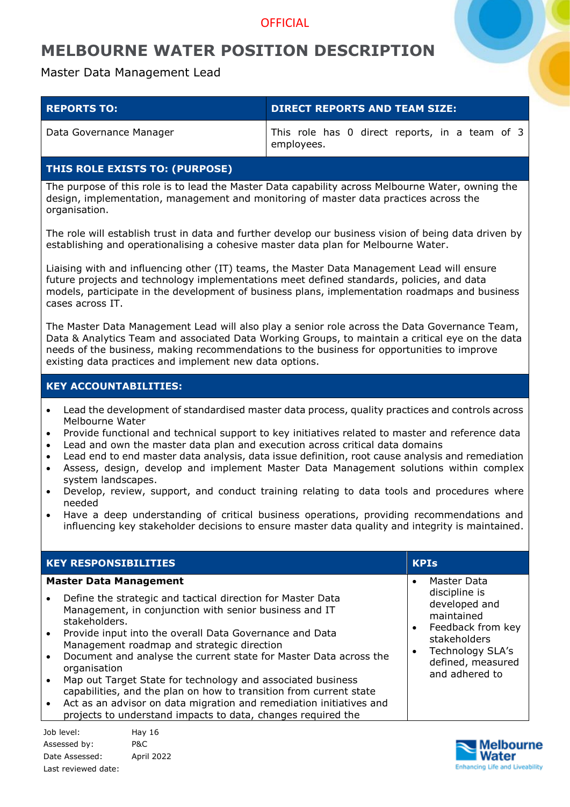### **OFFICIAL**

## **MELBOURNE WATER POSITION DESCRIPTION**

Master Data Management Lead

| <b>REPORTS TO:</b>      | <b>DIRECT REPORTS AND TEAM SIZE:</b>                         |
|-------------------------|--------------------------------------------------------------|
| Data Governance Manager | This role has 0 direct reports, in a team of 3<br>employees. |

### **THIS ROLE EXISTS TO: (PURPOSE)**

The purpose of this role is to lead the Master Data capability across Melbourne Water, owning the design, implementation, management and monitoring of master data practices across the organisation.

The role will establish trust in data and further develop our business vision of being data driven by establishing and operationalising a cohesive master data plan for Melbourne Water.

Liaising with and influencing other (IT) teams, the Master Data Management Lead will ensure future projects and technology implementations meet defined standards, policies, and data models, participate in the development of business plans, implementation roadmaps and business cases across IT.

The Master Data Management Lead will also play a senior role across the Data Governance Team, Data & Analytics Team and associated Data Working Groups, to maintain a critical eye on the data needs of the business, making recommendations to the business for opportunities to improve existing data practices and implement new data options.

### **KEY ACCOUNTABILITIES:**

- Lead the development of standardised master data process, quality practices and controls across Melbourne Water
- Provide functional and technical support to key initiatives related to master and reference data
- Lead and own the master data plan and execution across critical data domains
- Lead end to end master data analysis, data issue definition, root cause analysis and remediation
- Assess, design, develop and implement Master Data Management solutions within complex system landscapes.
- Develop, review, support, and conduct training relating to data tools and procedures where needed
- Have a deep understanding of critical business operations, providing recommendations and influencing key stakeholder decisions to ensure master data quality and integrity is maintained.

Job level: Hay 16 Assessed by: P&C Date Assessed: April 2022 Last reviewed date:

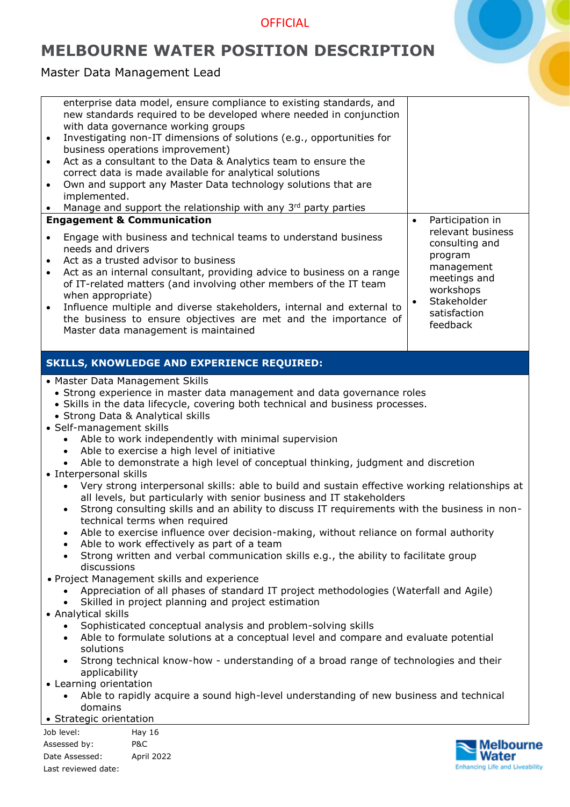## **OFFICIAL**

# **MELBOURNE WATER POSITION DESCRIPTION**

Master Data Management Lead

Last reviewed date:

| $\bullet$<br>$\bullet$<br>$\bullet$<br>implemented.<br>$\bullet$<br>$\bullet$<br>needs and drivers<br>$\bullet$<br>$\bullet$                                                                                                               | enterprise data model, ensure compliance to existing standards, and<br>new standards required to be developed where needed in conjunction<br>with data governance working groups<br>Investigating non-IT dimensions of solutions (e.g., opportunities for<br>business operations improvement)<br>Act as a consultant to the Data & Analytics team to ensure the<br>correct data is made available for analytical solutions<br>Own and support any Master Data technology solutions that are<br>Manage and support the relationship with any 3rd party parties<br><b>Engagement &amp; Communication</b><br>Engage with business and technical teams to understand business<br>Act as a trusted advisor to business<br>Act as an internal consultant, providing advice to business on a range<br>of IT-related matters (and involving other members of the IT team                                                                                                                                                                                                                                                                                                                                                                                                                                                                                                                                                                                                                                               | Participation in<br>$\bullet$<br>relevant business<br>consulting and<br>program<br>management<br>meetings and<br>workshops |
|--------------------------------------------------------------------------------------------------------------------------------------------------------------------------------------------------------------------------------------------|----------------------------------------------------------------------------------------------------------------------------------------------------------------------------------------------------------------------------------------------------------------------------------------------------------------------------------------------------------------------------------------------------------------------------------------------------------------------------------------------------------------------------------------------------------------------------------------------------------------------------------------------------------------------------------------------------------------------------------------------------------------------------------------------------------------------------------------------------------------------------------------------------------------------------------------------------------------------------------------------------------------------------------------------------------------------------------------------------------------------------------------------------------------------------------------------------------------------------------------------------------------------------------------------------------------------------------------------------------------------------------------------------------------------------------------------------------------------------------------------------------------|----------------------------------------------------------------------------------------------------------------------------|
| when appropriate)<br>$\bullet$                                                                                                                                                                                                             | Influence multiple and diverse stakeholders, internal and external to                                                                                                                                                                                                                                                                                                                                                                                                                                                                                                                                                                                                                                                                                                                                                                                                                                                                                                                                                                                                                                                                                                                                                                                                                                                                                                                                                                                                                                          | Stakeholder<br>$\bullet$                                                                                                   |
|                                                                                                                                                                                                                                            | the business to ensure objectives are met and the importance of<br>Master data management is maintained                                                                                                                                                                                                                                                                                                                                                                                                                                                                                                                                                                                                                                                                                                                                                                                                                                                                                                                                                                                                                                                                                                                                                                                                                                                                                                                                                                                                        | satisfaction<br>feedback                                                                                                   |
|                                                                                                                                                                                                                                            |                                                                                                                                                                                                                                                                                                                                                                                                                                                                                                                                                                                                                                                                                                                                                                                                                                                                                                                                                                                                                                                                                                                                                                                                                                                                                                                                                                                                                                                                                                                |                                                                                                                            |
|                                                                                                                                                                                                                                            | <b>SKILLS, KNOWLEDGE AND EXPERIENCE REQUIRED:</b>                                                                                                                                                                                                                                                                                                                                                                                                                                                                                                                                                                                                                                                                                                                                                                                                                                                                                                                                                                                                                                                                                                                                                                                                                                                                                                                                                                                                                                                              |                                                                                                                            |
| • Self-management skills<br>$\bullet$<br>$\bullet$<br>$\bullet$<br>• Interpersonal skills<br>$\bullet$<br>discussions<br>• Analytical skills<br>solutions<br>applicability<br>• Learning orientation<br>domains<br>• Strategic orientation | • Master Data Management Skills<br>• Strong experience in master data management and data governance roles<br>• Skills in the data lifecycle, covering both technical and business processes.<br>• Strong Data & Analytical skills<br>Able to work independently with minimal supervision<br>Able to exercise a high level of initiative<br>Able to demonstrate a high level of conceptual thinking, judgment and discretion<br>Very strong interpersonal skills: able to build and sustain effective working relationships at<br>all levels, but particularly with senior business and IT stakeholders<br>Strong consulting skills and an ability to discuss IT requirements with the business in non-<br>technical terms when required<br>Able to exercise influence over decision-making, without reliance on formal authority<br>Able to work effectively as part of a team<br>Strong written and verbal communication skills e.g., the ability to facilitate group<br>• Project Management skills and experience<br>Appreciation of all phases of standard IT project methodologies (Waterfall and Agile)<br>Skilled in project planning and project estimation<br>Sophisticated conceptual analysis and problem-solving skills<br>Able to formulate solutions at a conceptual level and compare and evaluate potential<br>Strong technical know-how - understanding of a broad range of technologies and their<br>Able to rapidly acquire a sound high-level understanding of new business and technical |                                                                                                                            |
| Job level:                                                                                                                                                                                                                                 | <b>Hay 16</b>                                                                                                                                                                                                                                                                                                                                                                                                                                                                                                                                                                                                                                                                                                                                                                                                                                                                                                                                                                                                                                                                                                                                                                                                                                                                                                                                                                                                                                                                                                  |                                                                                                                            |
| Assessed by:<br>Date Assessed:                                                                                                                                                                                                             | P&C<br>April 2022                                                                                                                                                                                                                                                                                                                                                                                                                                                                                                                                                                                                                                                                                                                                                                                                                                                                                                                                                                                                                                                                                                                                                                                                                                                                                                                                                                                                                                                                                              | <b>Melbourne</b><br>Water                                                                                                  |

**Enhancing Life and Liveability**